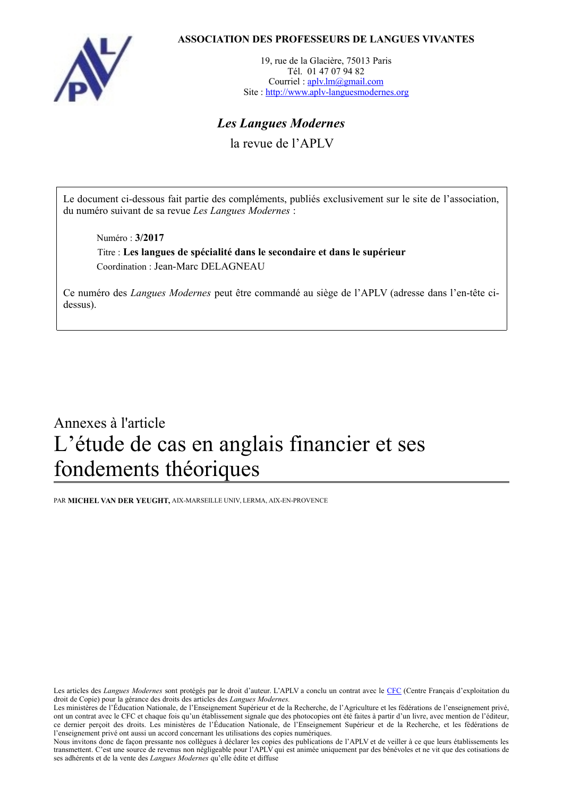

# **ASSOCIATION DES PROFESSEURS DE LANGUES VIVANTES**

19, rue de la Glacière, 75013 Paris Tél. 01 47 07 94 82 Courriel : [aplv.lm@gmail.com](mailto:aplv.lm@gmail.com) Site : [http://www.aplv-languesmodernes.org](http://www.aplv-languesmodernes.org/)

# *Les Langues Modernes*

la revue de l'APLV

Le document ci-dessous fait partie des compléments, publiés exclusivement sur le site de l'association, du numéro suivant de sa revue *Les Langues Modernes* :

Numéro : **3/2017**

Titre : **Les langues de spécialité dans le secondaire et dans le supérieur** Coordination : Jean-Marc DELAGNEAU

Ce numéro des *Langues Modernes* peut être commandé au siège de l'APLV (adresse dans l'en-tête cidessus).

# Annexes à l'article L'étude de cas en anglais financier et ses fondements théoriques

PAR **MICHEL VAN DER YEUGHT,** AIX-MARSEILLE UNIV, LERMA, AIX-EN-PROVENCE

Les articles des *Langues Modernes* sont protégés par le droit d'auteur. L'APLV a conclu un contrat avec le [CFC](http://www.cfcopies.com/) (Centre Français d'exploitation du droit de Copie) pour la gérance des droits des articles des *Langues Modernes.* 

Les ministères de l'Éducation Nationale, de l'Enseignement Supérieur et de la Recherche, de l'Agriculture et les fédérations de l'enseignement privé, ont un contrat avec le CFC et chaque fois qu'un établissement signale que des photocopies ont été faites à partir d'un livre, avec mention de l'éditeur, ce dernier perçoit des droits. Les ministères de l'Éducation Nationale, de l'Enseignement Supérieur et de la Recherche, et les fédérations de l'enseignement privé ont aussi un accord concernant les utilisations des copies numériques.

Nous invitons donc de façon pressante nos collègues à déclarer les copies des publications de l'APLV et de veiller à ce que leurs établissements les transmettent. C'est une source de revenus non négligeable pour l'APLV qui est animée uniquement par des bénévoles et ne vit que des cotisations de ses adhérents et de la vente des *Langues Modernes* qu'elle édite et diffuse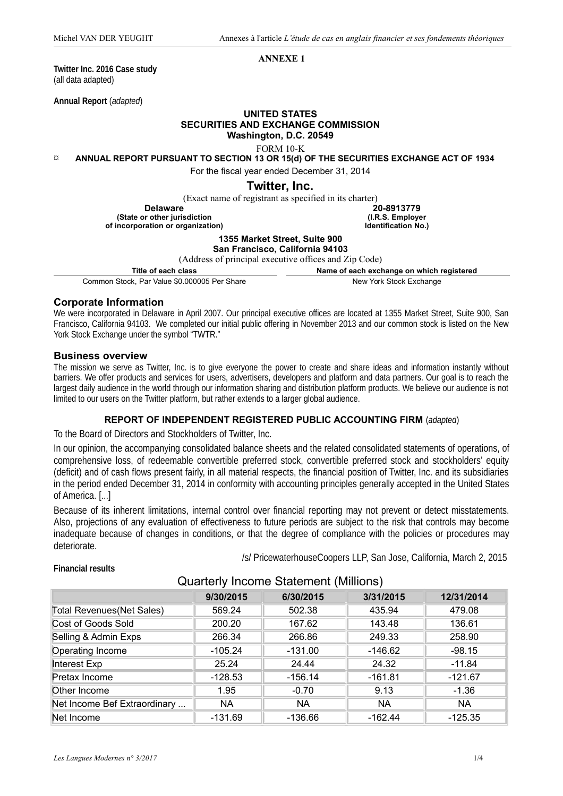#### **ANNEXE 1**

**Twitter Inc. 2016 Case study** (all data adapted)

**Annual Report** (*adapted*)

#### **UNITED STATES SECURITIES AND EXCHANGE COMMISSION Washington, D.C. 20549**

FORM 10-K

**ANNUAL REPORT PURSUANT TO SECTION 13 OR 15(d) OF THE SECURITIES EXCHANGE ACT OF 1934** 

For the fiscal year ended December 31, 2014

# **Twitter, Inc.**

Common Stock, Par Value \$0,000005 Per Share New York Stock Exchange

#### **Corporate Information**

We were incorporated in Delaware in April 2007. Our principal executive offices are located at 1355 Market Street, Suite 900, San Francisco, California 94103. We completed our initial public offering in November 2013 and our common stock is listed on the New York Stock Exchange under the symbol "TWTR."

#### **Business overview**

The mission we serve as Twitter, Inc. is to give everyone the power to create and share ideas and information instantly without barriers. We offer products and services for users, advertisers, developers and platform and data partners. Our goal is to reach the largest daily audience in the world through our information sharing and distribution platform products. We believe our audience is not limited to our users on the Twitter platform, but rather extends to a larger global audience.

## **REPORT OF INDEPENDENT REGISTERED PUBLIC ACCOUNTING FIRM** (*adapted*)

To the Board of Directors and Stockholders of Twitter, Inc.

In our opinion, the accompanying consolidated balance sheets and the related consolidated statements of operations, of comprehensive loss, of redeemable convertible preferred stock, convertible preferred stock and stockholders' equity (deficit) and of cash flows present fairly, in all material respects, the financial position of Twitter, Inc. and its subsidiaries in the period ended December 31, 2014 in conformity with accounting principles generally accepted in the United States of America. [...]

Because of its inherent limitations, internal control over financial reporting may not prevent or detect misstatements. Also, projections of any evaluation of effectiveness to future periods are subject to the risk that controls may become inadequate because of changes in conditions, or that the degree of compliance with the policies or procedures may deteriorate.

# Quarterly Income Statement (Millions) **9/30/2015 6/30/2015 3/31/2015 12/31/2014** Total Revenues(Net Sales) 569.24 502.38 435.94 479.08 Cost of Goods Sold 200.20 167.62 143.48 136.61 Selling & Admin Exps 200 266.34 266.86 249.33 258.90 Operating Income -105.24 -131.00 -146.62 -98.15 Interest Exp || 25.24 || 24.44 || 24.32 || -11.84 Pretax Income -128.53 -126.14 -161.81 -121.67 Other Income 1.95 -0.70 9.13 -1.36 Net Income Bef Extraordinary ... | NA | NA | NA | NA NA Net Income -131.69 -136.66 -162.44 -125.35

#### **Financial results**

*Les Langues Modernes n° 3/2017* 1/4

/s/ PricewaterhouseCoopers LLP, San Jose, California, March 2, 2015

|                                                        | TWILLEI, IIIL.                            |  |
|--------------------------------------------------------|-------------------------------------------|--|
| (Exact name of registrant as specified in its charter) |                                           |  |
| <b>Delaware</b>                                        | 20-8913779                                |  |
| (State or other jurisdiction                           | (I.R.S. Employer                          |  |
| of incorporation or organization)                      | <b>Identification No.)</b>                |  |
| 1355 Market Street, Suite 900                          |                                           |  |
| San Francisco, California 94103                        |                                           |  |
| (Address of principal executive offices and Zip Code)  |                                           |  |
| Title of each class                                    | Name of each exchange on which registered |  |
|                                                        | Allace Martin Otto all Essale and an      |  |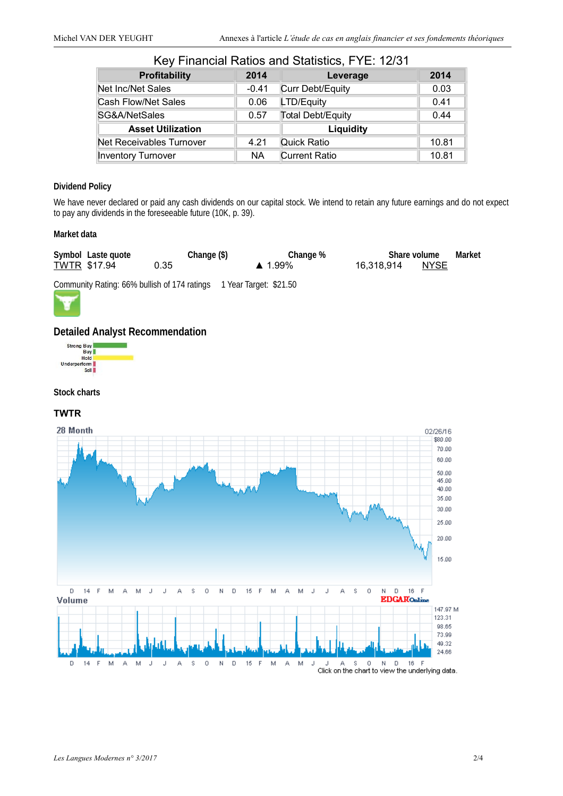| <u>Rey Filidifuldi Ratios ditu Statistics, F i E. 12/3 i</u> |         |                           |       |  |  |
|--------------------------------------------------------------|---------|---------------------------|-------|--|--|
| <b>Profitability</b>                                         | 2014    | Leverage                  | 2014  |  |  |
| Net Inc/Net Sales                                            | $-0.41$ | Curr Debt/Equity          | 0.03  |  |  |
| Cash Flow/Net Sales                                          | 0.06    | LTD/Equity                | 0.41  |  |  |
| SG&A/NetSales                                                | 0.57    | Total Debt/Equity<br>0.44 |       |  |  |
| <b>Asset Utilization</b>                                     |         | Liquidity                 |       |  |  |
| Net Receivables Turnover                                     | 4.21    | Quick Ratio               | 10.81 |  |  |
| <b>Inventory Turnover</b>                                    | NA      | <b>Current Ratio</b>      | 10.81 |  |  |

# Key Financial Ratios and Statistics, FYE: 12/31

### **Dividend Policy**

We have never declared or paid any cash dividends on our capital stock. We intend to retain any future earnings and do not expect to pay any dividends in the foreseeable future (10K, p. 39).

#### **Market data**

| Symbol Laste quote  | Change (\$)                                                         | Change %               |            | Share volume | Market |
|---------------------|---------------------------------------------------------------------|------------------------|------------|--------------|--------|
| <b>TWTR \$17.94</b> | 0.35                                                                | $\blacktriangle$ 1.99% | 16.318.914 | <b>NYSE</b>  |        |
|                     | Community Rating: 66% bullish of 174 ratings 1 Year Target: \$21.50 |                        |            |              |        |



# **Detailed Analyst Recommendation**



#### **Stock charts**

# **TWTR**



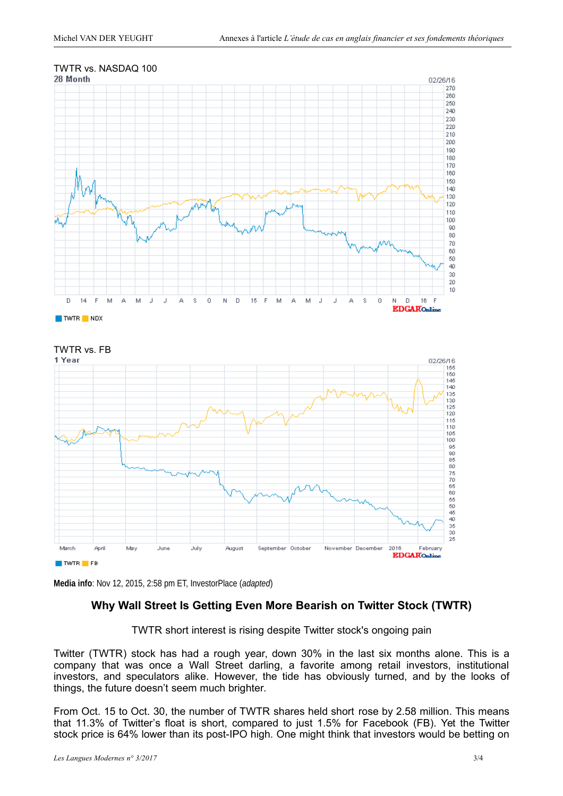



**Media info**: Nov 12, 2015, 2:58 pm ET, InvestorPlace (*adapted*)

# **Why Wall Street Is Getting Even More Bearish on Twitter Stock (TWTR)**

TWTR short interest is rising despite Twitter stock's ongoing pain

Twitter [\(TWTR\)](http://investorplace.com/stock-quotes/twtr-stock-quote/) stock has had a rough year, down 30% in the last six months alone. This is a company that was once a Wall Street darling, a favorite among retail investors, institutional investors, and speculators alike. However, the tide has obviously turned, and by the looks of things, the future doesn't seem much brighter.

From Oct. 15 to Oct. 30, the number of TWTR shares held short [rose by 2.58 million.](http://www.americantradejournal.com/twitter-inc-nysetwtr-short-interest-update-3/6142756/) This means that 11.3% of Twitter's float is short, compared to just 1.5% for Facebook [\(FB\)](http://investorplace.com/stock-quotes/fb-stock-quote/). Yet the Twitter stock price is 64% lower than its post-IPO high. One might think that investors would be betting on